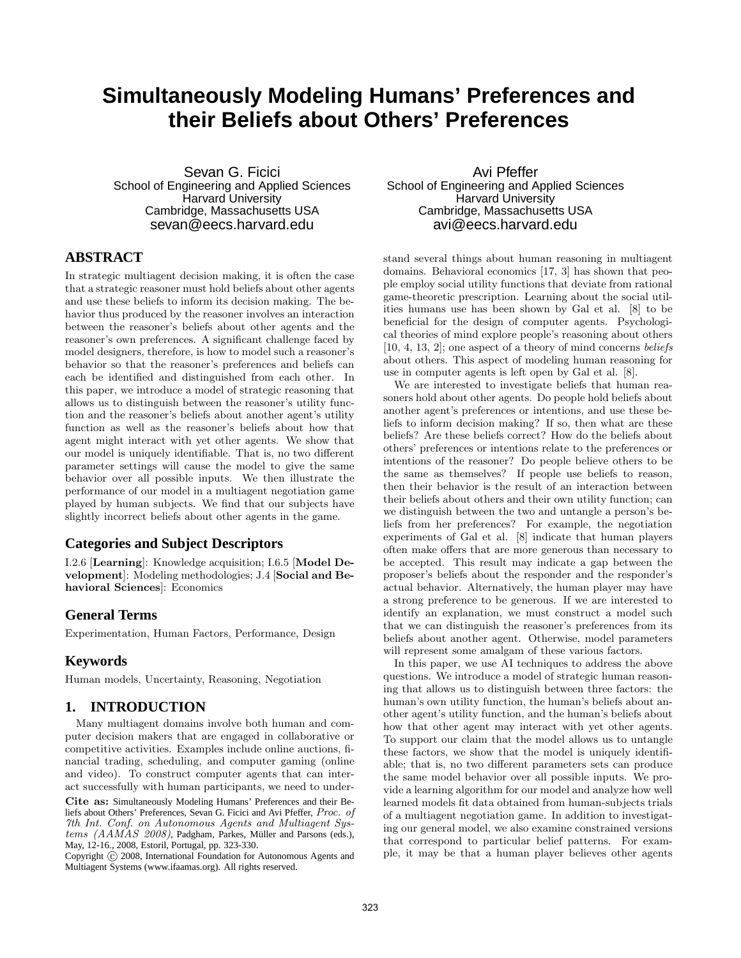# **Simultaneously Modeling Humans' Preferences and their Beliefs about Others' Preferences**

Sevan G. Ficici School of Engineering and Applied Sciences **Harvard University** Cambridge, Massachusetts USA sevan@eecs.harvard.edu

# **ABSTRACT**

In strategic multiagent decision making, it is often the case that a strategic reasoner must hold beliefs about other agents and use these beliefs to inform its decision making. The behavior thus produced by the reasoner involves an interaction between the reasoner's beliefs about other agents and the reasoner's own preferences. A significant challenge faced by model designers, therefore, is how to model such a reasoner's behavior so that the reasoner's preferences and beliefs can each be identified and distinguished from each other. In this paper, we introduce a model of strategic reasoning that allows us to distinguish between the reasoner's utility function and the reasoner's beliefs about another agent's utility function as well as the reasoner's beliefs about how that agent might interact with yet other agents. We show that our model is uniquely identifiable. That is, no two different parameter settings will cause the model to give the same behavior over all possible inputs. We then illustrate the performance of our model in a multiagent negotiation game played by human subjects. We find that our subjects have slightly incorrect beliefs about other agents in the game.

# **Categories and Subject Descriptors**

I.2.6 [Learning]: Knowledge acquisition; I.6.5 [Model Development]: Modeling methodologies; J.4 [Social and Behavioral Sciences]: Economics

## **General Terms**

Experimentation, Human Factors, Performance, Design

## **Keywords**

Human models, Uncertainty, Reasoning, Negotiation

# **1. INTRODUCTION**

Many multiagent domains involve both human and computer decision makers that are engaged in collaborative or competitive activities. Examples include online auctions, financial trading, scheduling, and computer gaming (online and video). To construct computer agents that can interact successfully with human participants, we need to under-

Cite as: Simultaneously Modeling Humans' Preferences and their Beliefs about Others' Preferences, Sevan G. Ficici and Avi Pfeffer, Proc. of 7th Int. Conf. on Autonomous Agents and Multiagent Systems (AAMAS 2008), Padgham, Parkes, Müller and Parsons (eds.), May, 12-16., 2008, Estoril, Portugal, pp. 323-330.

Copyright (C) 2008, International Foundation for Autonomous Agents and Multiagent Systems (www.ifaamas.org). All rights reserved.

Avi Pfeffer School of Engineering and Applied Sciences **Harvard University** Cambridge, Massachusetts USA avi@eecs.harvard.edu

stand several things about human reasoning in multiagent domains. Behavioral economics [17, 3] has shown that people employ social utility functions that deviate from rational game-theoretic prescription. Learning about the social utilities humans use has been shown by Gal et al. [8] to be beneficial for the design of computer agents. Psychological theories of mind explore people's reasoning about others [10, 4, 13, 2]; one aspect of a theory of mind concerns beliefs about others. This aspect of modeling human reasoning for use in computer agents is left open by Gal et al. [8].

We are interested to investigate beliefs that human reasoners hold about other agents. Do people hold beliefs about another agent's preferences or intentions, and use these beliefs to inform decision making? If so, then what are these beliefs? Are these beliefs correct? How do the beliefs about others' preferences or intentions relate to the preferences or intentions of the reasoner? Do people believe others to be the same as themselves? If people use beliefs to reason, then their behavior is the result of an interaction between their beliefs about others and their own utility function; can we distinguish between the two and untangle a person's beliefs from her preferences? For example, the negotiation experiments of Gal et al. [8] indicate that human players often make offers that are more generous than necessary to be accepted. This result may indicate a gap between the proposer's beliefs about the responder and the responder's actual behavior. Alternatively, the human player may have a strong preference to be generous. If we are interested to identify an explanation, we must construct a model such that we can distinguish the reasoner's preferences from its beliefs about another agent. Otherwise, model parameters will represent some amalgam of these various factors.

In this paper, we use AI techniques to address the above questions. We introduce a model of strategic human reasoning that allows us to distinguish between three factors: the human's own utility function, the human's beliefs about another agent's utility function, and the human's beliefs about how that other agent may interact with yet other agents. To support our claim that the model allows us to untangle these factors, we show that the model is uniquely identifiable; that is, no two different parameters sets can produce the same model behavior over all possible inputs. We provide a learning algorithm for our model and analyze how well learned models fit data obtained from human-subjects trials of a multiagent negotiation game. In addition to investigating our general model, we also examine constrained versions that correspond to particular belief patterns. For example, it may be that a human player believes other agents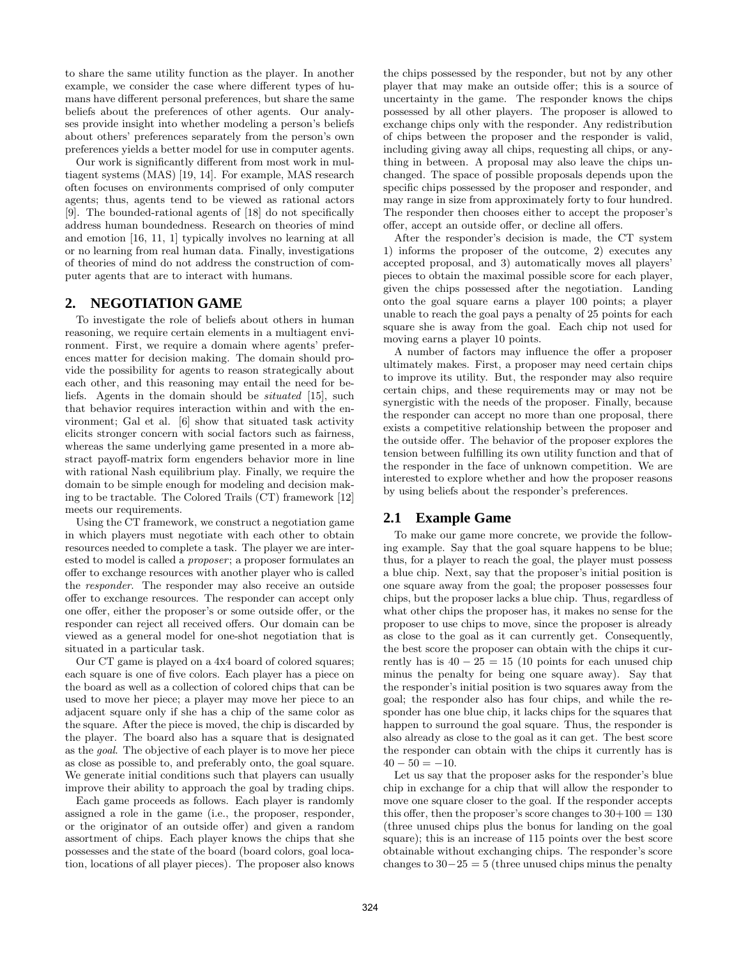to share the same utility function as the player. In another example, we consider the case where different types of humans have different personal preferences, but share the same beliefs about the preferences of other agents. Our analyses provide insight into whether modeling a person's beliefs about others' preferences separately from the person's own preferences yields a better model for use in computer agents.

Our work is significantly different from most work in multiagent systems (MAS) [19, 14]. For example, MAS research often focuses on environments comprised of only computer agents; thus, agents tend to be viewed as rational actors [9]. The bounded-rational agents of [18] do not specifically address human boundedness. Research on theories of mind and emotion [16, 11, 1] typically involves no learning at all or no learning from real human data. Finally, investigations of theories of mind do not address the construction of computer agents that are to interact with humans.

# **2. NEGOTIATION GAME**

To investigate the role of beliefs about others in human reasoning, we require certain elements in a multiagent environment. First, we require a domain where agents' preferences matter for decision making. The domain should provide the possibility for agents to reason strategically about each other, and this reasoning may entail the need for beliefs. Agents in the domain should be situated [15], such that behavior requires interaction within and with the environment; Gal et al. [6] show that situated task activity elicits stronger concern with social factors such as fairness, whereas the same underlying game presented in a more abstract payoff-matrix form engenders behavior more in line with rational Nash equilibrium play. Finally, we require the domain to be simple enough for modeling and decision making to be tractable. The Colored Trails (CT) framework [12] meets our requirements.

Using the CT framework, we construct a negotiation game in which players must negotiate with each other to obtain resources needed to complete a task. The player we are interested to model is called a proposer; a proposer formulates an offer to exchange resources with another player who is called the responder. The responder may also receive an outside offer to exchange resources. The responder can accept only one offer, either the proposer's or some outside offer, or the responder can reject all received offers. Our domain can be viewed as a general model for one-shot negotiation that is situated in a particular task.

Our CT game is played on a 4x4 board of colored squares; each square is one of five colors. Each player has a piece on the board as well as a collection of colored chips that can be used to move her piece; a player may move her piece to an adjacent square only if she has a chip of the same color as the square. After the piece is moved, the chip is discarded by the player. The board also has a square that is designated as the goal. The objective of each player is to move her piece as close as possible to, and preferably onto, the goal square. We generate initial conditions such that players can usually improve their ability to approach the goal by trading chips.

Each game proceeds as follows. Each player is randomly assigned a role in the game (i.e., the proposer, responder, or the originator of an outside offer) and given a random assortment of chips. Each player knows the chips that she possesses and the state of the board (board colors, goal location, locations of all player pieces). The proposer also knows the chips possessed by the responder, but not by any other player that may make an outside offer; this is a source of uncertainty in the game. The responder knows the chips possessed by all other players. The proposer is allowed to exchange chips only with the responder. Any redistribution of chips between the proposer and the responder is valid, including giving away all chips, requesting all chips, or anything in between. A proposal may also leave the chips unchanged. The space of possible proposals depends upon the specific chips possessed by the proposer and responder, and may range in size from approximately forty to four hundred. The responder then chooses either to accept the proposer's offer, accept an outside offer, or decline all offers.

After the responder's decision is made, the CT system 1) informs the proposer of the outcome, 2) executes any accepted proposal, and 3) automatically moves all players' pieces to obtain the maximal possible score for each player, given the chips possessed after the negotiation. Landing onto the goal square earns a player 100 points; a player unable to reach the goal pays a penalty of 25 points for each square she is away from the goal. Each chip not used for moving earns a player 10 points.

A number of factors may influence the offer a proposer ultimately makes. First, a proposer may need certain chips to improve its utility. But, the responder may also require certain chips, and these requirements may or may not be synergistic with the needs of the proposer. Finally, because the responder can accept no more than one proposal, there exists a competitive relationship between the proposer and the outside offer. The behavior of the proposer explores the tension between fulfilling its own utility function and that of the responder in the face of unknown competition. We are interested to explore whether and how the proposer reasons by using beliefs about the responder's preferences.

# **2.1 Example Game**

To make our game more concrete, we provide the following example. Say that the goal square happens to be blue; thus, for a player to reach the goal, the player must possess a blue chip. Next, say that the proposer's initial position is one square away from the goal; the proposer possesses four chips, but the proposer lacks a blue chip. Thus, regardless of what other chips the proposer has, it makes no sense for the proposer to use chips to move, since the proposer is already as close to the goal as it can currently get. Consequently, the best score the proposer can obtain with the chips it currently has is  $40 - 25 = 15$  (10 points for each unused chip minus the penalty for being one square away). Say that the responder's initial position is two squares away from the goal; the responder also has four chips, and while the responder has one blue chip, it lacks chips for the squares that happen to surround the goal square. Thus, the responder is also already as close to the goal as it can get. The best score the responder can obtain with the chips it currently has is  $40 - 50 = -10.$ 

Let us say that the proposer asks for the responder's blue chip in exchange for a chip that will allow the responder to move one square closer to the goal. If the responder accepts this offer, then the proposer's score changes to  $30+100 = 130$ (three unused chips plus the bonus for landing on the goal square); this is an increase of 115 points over the best score obtainable without exchanging chips. The responder's score changes to  $30-25 = 5$  (three unused chips minus the penalty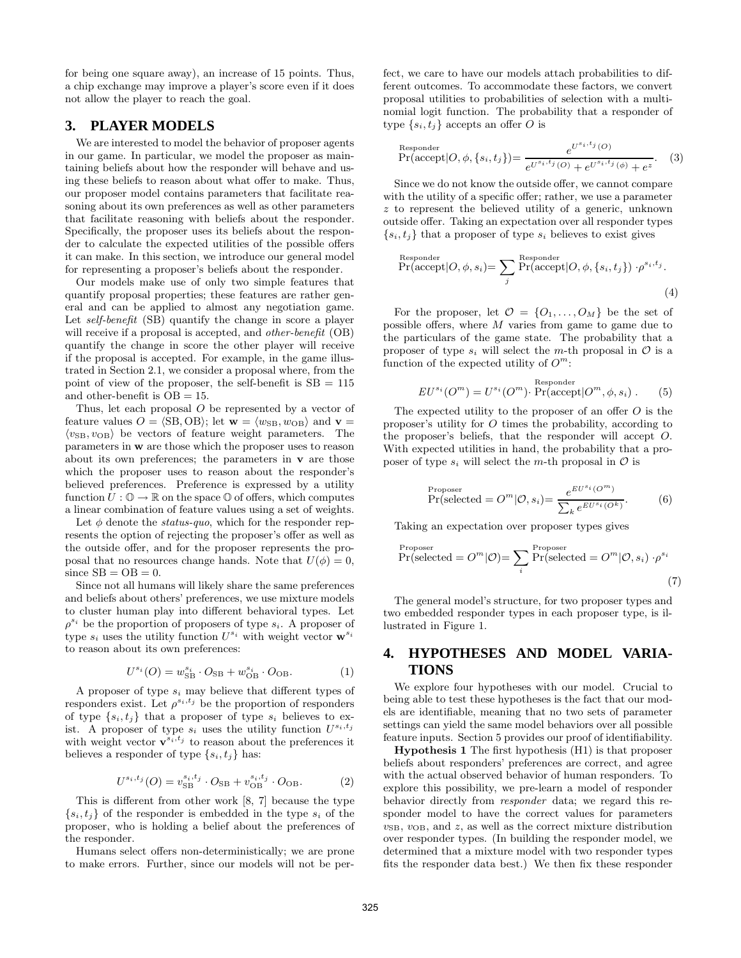for being one square away), an increase of 15 points. Thus, a chip exchange may improve a player's score even if it does not allow the player to reach the goal.

# **3. PLAYER MODELS**

We are interested to model the behavior of proposer agents in our game. In particular, we model the proposer as maintaining beliefs about how the responder will behave and using these beliefs to reason about what offer to make. Thus, our proposer model contains parameters that facilitate reasoning about its own preferences as well as other parameters that facilitate reasoning with beliefs about the responder. Specifically, the proposer uses its beliefs about the responder to calculate the expected utilities of the possible offers it can make. In this section, we introduce our general model for representing a proposer's beliefs about the responder.

Our models make use of only two simple features that quantify proposal properties; these features are rather general and can be applied to almost any negotiation game. Let self-benefit (SB) quantify the change in score a player will receive if a proposal is accepted, and *other-benefit* (OB) quantify the change in score the other player will receive if the proposal is accepted. For example, in the game illustrated in Section 2.1, we consider a proposal where, from the point of view of the proposer, the self-benefit is  $SB = 115$ and other-benefit is  $OB = 15$ .

Thus, let each proposal O be represented by a vector of feature values  $O = \langle SB, OB \rangle$ ; let  $\mathbf{w} = \langle w_{SB}, w_{OB} \rangle$  and  $\mathbf{v} =$  $\langle v_{\text{SB}}, v_{\text{OB}} \rangle$  be vectors of feature weight parameters. The parameters in w are those which the proposer uses to reason about its own preferences; the parameters in  $\bf{v}$  are those which the proposer uses to reason about the responder's believed preferences. Preference is expressed by a utility function  $U: \mathbb{O} \to \mathbb{R}$  on the space  $\mathbb{O}$  of offers, which computes a linear combination of feature values using a set of weights.

Let  $\phi$  denote the *status-quo*, which for the responder represents the option of rejecting the proposer's offer as well as the outside offer, and for the proposer represents the proposal that no resources change hands. Note that  $U(\phi) = 0$ , since  $SB = OB = 0$ .

Since not all humans will likely share the same preferences and beliefs about others' preferences, we use mixture models to cluster human play into different behavioral types. Let  $\rho^{s_i}$  be the proportion of proposers of type  $s_i$ . A proposer of type  $s_i$  uses the utility function  $U^{s_i}$  with weight vector  $\mathbf{w}^{s_i}$ to reason about its own preferences:

$$
U^{s_i}(O) = w_{\rm SB}^{s_i} \cdot O_{\rm SB} + w_{\rm OB}^{s_i} \cdot O_{\rm OB}.
$$
 (1)

A proposer of type  $s_i$  may believe that different types of responders exist. Let  $\rho^{s_i,t_j}$  be the proportion of responders of type  $\{s_i, t_j\}$  that a proposer of type  $s_i$  believes to exist. A proposer of type  $s_i$  uses the utility function  $U^{s_i,t_j}$ with weight vector  $\mathbf{v}^{s_i,t_j}$  to reason about the preferences it believes a responder of type  $\{s_i, t_j\}$  has:

$$
U^{s_i, t_j}(O) = v_{\text{SB}}^{s_i, t_j} \cdot O_{\text{SB}} + v_{\text{OB}}^{s_i, t_j} \cdot O_{\text{OB}}.
$$
 (2)

This is different from other work [8, 7] because the type  ${s_i, t_i}$  of the responder is embedded in the type  $s_i$  of the proposer, who is holding a belief about the preferences of the responder.

Humans select offers non-deterministically; we are prone to make errors. Further, since our models will not be perfect, we care to have our models attach probabilities to different outcomes. To accommodate these factors, we convert proposal utilities to probabilities of selection with a multinomial logit function. The probability that a responder of type  $\{s_i, t_j\}$  accepts an offer O is

Responder  
\n
$$
\Pr(\text{accept}|O, \phi, \{s_i, t_j\}) = \frac{e^{U^{s_i, t_j}(O)}}{e^{U^{s_i, t_j}(O)} + e^{U^{s_i, t_j}(\phi)} + e^z}.
$$
\n(3)

Since we do not know the outside offer, we cannot compare with the utility of a specific offer; rather, we use a parameter z to represent the believed utility of a generic, unknown outside offer. Taking an expectation over all responder types  $\{s_i, t_j\}$  that a proposer of type  $s_i$  believes to exist gives

Responder  
\n
$$
Pr(\text{accept}|O, \phi, s_i) = \sum_{j} \Pr(\text{accept}|O, \phi, \{s_i, t_j\}) \cdot \rho^{s_i, t_j}.
$$
\n(4)

For the proposer, let  $\mathcal{O} = \{O_1, \ldots, O_M\}$  be the set of possible offers, where M varies from game to game due to the particulars of the game state. The probability that a proposer of type  $s_i$  will select the m-th proposal in  $\mathcal O$  is a function of the expected utility of  $O^m$ :

$$
EU^{s_i}(O^m) = U^{s_i}(O^m) \cdot \Pr(\text{accept}|O^m, \phi, s_i) . \tag{5}
$$

The expected utility to the proposer of an offer  $O$  is the proposer's utility for O times the probability, according to the proposer's beliefs, that the responder will accept O. With expected utilities in hand, the probability that a proposer of type  $s_i$  will select the m-th proposal in  $\mathcal O$  is

$$
\Pr(\text{selected} = O^m | \mathcal{O}, s_i) = \frac{e^{EU^{s_i}(O^m)}}{\sum_k e^{EU^{s_i}(O^k)}}.
$$
 (6)

Taking an expectation over proposer types gives

$$
\Pr(\text{selected} = O^m | \mathcal{O}) = \sum_{i} \Pr(\text{selected} = O^m | \mathcal{O}, s_i) \cdot \rho^{s_i}
$$
\n
$$
(7)
$$

The general model's structure, for two proposer types and two embedded responder types in each proposer type, is illustrated in Figure 1.

# **4. HYPOTHESES AND MODEL VARIA-TIONS**

We explore four hypotheses with our model. Crucial to being able to test these hypotheses is the fact that our models are identifiable, meaning that no two sets of parameter settings can yield the same model behaviors over all possible feature inputs. Section 5 provides our proof of identifiability.

Hypothesis 1 The first hypothesis (H1) is that proposer beliefs about responders' preferences are correct, and agree with the actual observed behavior of human responders. To explore this possibility, we pre-learn a model of responder behavior directly from responder data; we regard this responder model to have the correct values for parameters  $v_{\text{SB}}$ ,  $v_{\text{OB}}$ , and z, as well as the correct mixture distribution over responder types. (In building the responder model, we determined that a mixture model with two responder types fits the responder data best.) We then fix these responder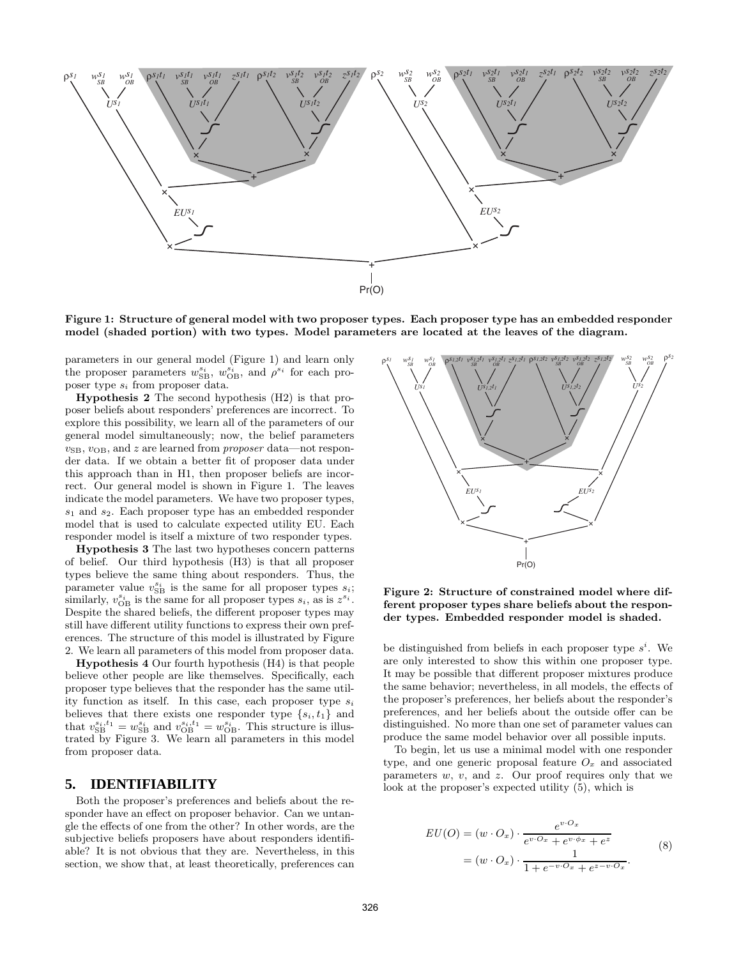

Figure 1: Structure of general model with two proposer types. Each proposer type has an embedded responder model (shaded portion) with two types. Model parameters are located at the leaves of the diagram.

parameters in our general model (Figure 1) and learn only the proposer parameters  $w_{\text{SB}}^{s_i}$ ,  $w_{\text{OB}}^{s_i}$ , and  $\rho^{s_i}$  for each proposer type  $s_i$  from proposer data.

Hypothesis 2 The second hypothesis (H2) is that proposer beliefs about responders' preferences are incorrect. To explore this possibility, we learn all of the parameters of our general model simultaneously; now, the belief parameters  $v_{\text{SB}}$ ,  $v_{\text{OB}}$ , and z are learned from *proposer* data—not responder data. If we obtain a better fit of proposer data under this approach than in H1, then proposer beliefs are incorrect. Our general model is shown in Figure 1. The leaves indicate the model parameters. We have two proposer types,  $s_1$  and  $s_2$ . Each proposer type has an embedded responder model that is used to calculate expected utility EU. Each responder model is itself a mixture of two responder types.

Hypothesis 3 The last two hypotheses concern patterns of belief. Our third hypothesis (H3) is that all proposer types believe the same thing about responders. Thus, the parameter value  $v_{\text{SB}}^{s_i}$  is the same for all proposer types  $s_i$ ; similarly,  $v_{OB}^{s_i}$  is the same for all proposer types  $s_i$ , as is  $z^{s_i}$ . Despite the shared beliefs, the different proposer types may still have different utility functions to express their own preferences. The structure of this model is illustrated by Figure 2. We learn all parameters of this model from proposer data.

Hypothesis 4 Our fourth hypothesis (H4) is that people believe other people are like themselves. Specifically, each proposer type believes that the responder has the same utility function as itself. In this case, each proposer type  $s_i$ believes that there exists one responder type  $\{s_i, t_1\}$  and that  $v_{\text{SB}}^{s_i, t_1} = w_{\text{SB}}^{s_i}$  and  $v_{\text{OB}}^{s_i, t_1} = w_{\text{OB}}^{s_i}$ . This structure is illustrated by Figure 3. We learn all parameters in this model from proposer data.

#### **5. IDENTIFIABILITY**

Both the proposer's preferences and beliefs about the responder have an effect on proposer behavior. Can we untangle the effects of one from the other? In other words, are the subjective beliefs proposers have about responders identifiable? It is not obvious that they are. Nevertheless, in this section, we show that, at least theoretically, preferences can



Figure 2: Structure of constrained model where different proposer types share beliefs about the responder types. Embedded responder model is shaded.

be distinguished from beliefs in each proposer type  $s^i$ . We are only interested to show this within one proposer type. It may be possible that different proposer mixtures produce the same behavior; nevertheless, in all models, the effects of the proposer's preferences, her beliefs about the responder's preferences, and her beliefs about the outside offer can be distinguished. No more than one set of parameter values can produce the same model behavior over all possible inputs.

To begin, let us use a minimal model with one responder type, and one generic proposal feature  $O_x$  and associated parameters  $w, v,$  and  $z$ . Our proof requires only that we look at the proposer's expected utility (5), which is

$$
EU(O) = (w \cdot O_x) \cdot \frac{e^{v \cdot O_x}}{e^{v \cdot O_x} + e^{v \cdot \phi_x} + e^z}
$$
  
= 
$$
(w \cdot O_x) \cdot \frac{1}{1 + e^{-v \cdot O_x} + e^{z - v \cdot O_x}}.
$$
 (8)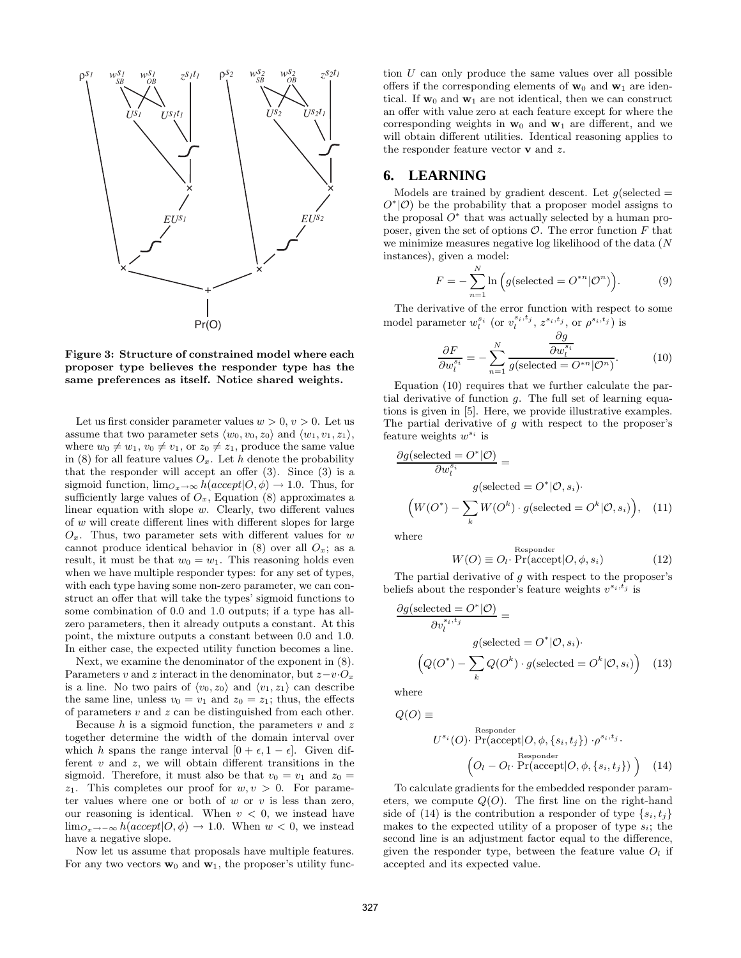

Figure 3: Structure of constrained model where each proposer type believes the responder type has the same preferences as itself. Notice shared weights.

Let us first consider parameter values  $w > 0$ ,  $v > 0$ . Let us assume that two parameter sets  $\langle w_0, v_0, z_0 \rangle$  and  $\langle w_1, v_1, z_1 \rangle$ , where  $w_0 \neq w_1, v_0 \neq v_1$ , or  $z_0 \neq z_1$ , produce the same value in (8) for all feature values  $O_x$ . Let h denote the probability that the responder will accept an offer  $(3)$ . Since  $(3)$  is a sigmoid function,  $\lim_{\mathcal{O}_x \to \infty} h(accept | O, \phi) \to 1.0$ . Thus, for sufficiently large values of  $O_x$ , Equation (8) approximates a linear equation with slope w. Clearly, two different values of w will create different lines with different slopes for large  $O_x$ . Thus, two parameter sets with different values for w cannot produce identical behavior in (8) over all  $O_x$ ; as a result, it must be that  $w_0 = w_1$ . This reasoning holds even when we have multiple responder types: for any set of types, with each type having some non-zero parameter, we can construct an offer that will take the types' sigmoid functions to some combination of 0.0 and 1.0 outputs; if a type has allzero parameters, then it already outputs a constant. At this point, the mixture outputs a constant between 0.0 and 1.0. In either case, the expected utility function becomes a line.

Next, we examine the denominator of the exponent in (8). Parameters v and z interact in the denominator, but  $z-v \cdot O_x$ is a line. No two pairs of  $\langle v_0, z_0 \rangle$  and  $\langle v_1, z_1 \rangle$  can describe the same line, unless  $v_0 = v_1$  and  $z_0 = z_1$ ; thus, the effects of parameters  $v$  and  $z$  can be distinguished from each other.

Because  $h$  is a sigmoid function, the parameters  $v$  and  $z$ together determine the width of the domain interval over which h spans the range interval  $[0 + \epsilon, 1 - \epsilon]$ . Given different  $v$  and  $z$ , we will obtain different transitions in the sigmoid. Therefore, it must also be that  $v_0 = v_1$  and  $z_0 =$  $z_1$ . This completes our proof for  $w, v > 0$ . For parameter values where one or both of  $w$  or  $v$  is less than zero, our reasoning is identical. When  $v < 0$ , we instead have  $\lim_{\mathcal{O}_{x\to-\infty}} h(accept|O, \phi) \to 1.0$ . When  $w < 0$ , we instead have a negative slope.

Now let us assume that proposals have multiple features. For any two vectors  $w_0$  and  $w_1$ , the proposer's utility function U can only produce the same values over all possible offers if the corresponding elements of  $w_0$  and  $w_1$  are identical. If  $w_0$  and  $w_1$  are not identical, then we can construct an offer with value zero at each feature except for where the corresponding weights in  $w_0$  and  $w_1$  are different, and we will obtain different utilities. Identical reasoning applies to the responder feature vector  $\bf{v}$  and  $\bf{z}$ .

## **6. LEARNING**

Models are trained by gradient descent. Let  $g$ (selected =  $O^*(\mathcal{O})$  be the probability that a proposer model assigns to the proposal  $O^*$  that was actually selected by a human proposer, given the set of options  $\mathcal{O}$ . The error function  $F$  that we minimize measures negative log likelihood of the data (N instances), given a model:

$$
F = -\sum_{n=1}^{N} \ln \left( g(\text{selected} = O^{*n} | \mathcal{O}^n) \right). \tag{9}
$$

The derivative of the error function with respect to some model parameter  $w_l^{s_i}$  (or  $v_l^{s_i,t_j}$ ,  $z^{s_i,t_j}$ , or  $\rho^{s_i,t_j}$ ) is

$$
\frac{\partial F}{\partial w_l^{s_i}} = -\sum_{n=1}^N \frac{\frac{\partial g}{\partial w_l^{s_i}}}{g(\text{selected} = O^{*n}|\mathcal{O}^n)}.
$$
(10)

Equation (10) requires that we further calculate the partial derivative of function  $g$ . The full set of learning equations is given in [5]. Here, we provide illustrative examples. The partial derivative of  $g$  with respect to the proposer's feature weights  $w^{s_i}$  is

$$
\frac{\partial g(\text{selected} = O^* | O)}{\partial w_i^{s_i}} =
$$
\n
$$
g(\text{selected} = O^* | O, s_i).
$$
\n
$$
(W(O^*) - \sum_k W(O^k) \cdot g(\text{selected} = O^k | O, s_i)), \quad (11)
$$

where

$$
W(O) \equiv O_l \cdot \Pr(\text{accept}|O, \phi, s_i)
$$
 (12)

The partial derivative of  $g$  with respect to the proposer's beliefs about the responder's feature weights  $v^{s_i, t_j}$  is

$$
\frac{\partial g(\text{selected} = O^* | O)}{\partial v_i^{s_i, t_j}} =
$$
\n
$$
g(\text{selected} = O^* | O, s_i).
$$
\n
$$
\left(Q(O^*) - \sum_k Q(O^k) \cdot g(\text{selected} = O^k | O, s_i)\right) \quad (13)
$$

where

 $Q(O) \equiv$ 

$$
U^{s_i}(O) \cdot \Pr(\text{accept}|O, \phi, \{s_i, t_j\}) \cdot \rho^{s_i, t_j}.
$$

$$
\left(O_l - O_l \cdot \Pr(\text{accept}|O, \phi, \{s_i, t_j\})\right) \quad (14)
$$

To calculate gradients for the embedded responder parameters, we compute  $Q(O)$ . The first line on the right-hand side of (14) is the contribution a responder of type  $\{s_i, t_j\}$ makes to the expected utility of a proposer of type  $s_i$ ; the second line is an adjustment factor equal to the difference, given the responder type, between the feature value  $O_l$  if accepted and its expected value.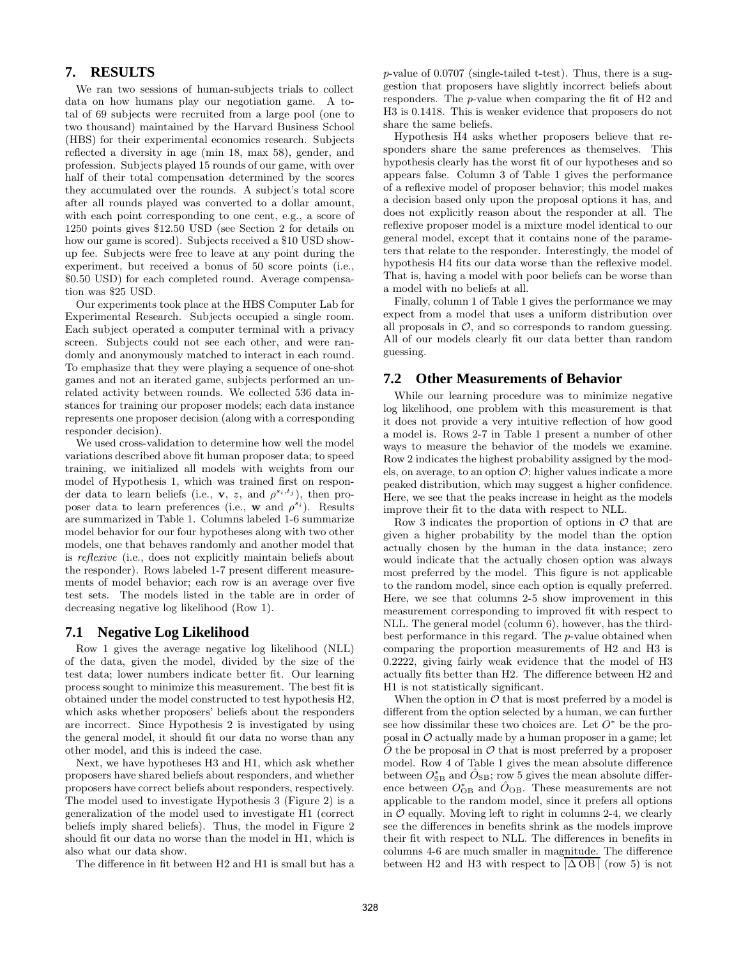# **7. RESULTS**

We ran two sessions of human-subjects trials to collect data on how humans play our negotiation game. A total of 69 subjects were recruited from a large pool (one to two thousand) maintained by the Harvard Business School (HBS) for their experimental economics research. Subjects reflected a diversity in age (min 18, max 58), gender, and profession. Subjects played 15 rounds of our game, with over half of their total compensation determined by the scores they accumulated over the rounds. A subject's total score after all rounds played was converted to a dollar amount, with each point corresponding to one cent, e.g., a score of 1250 points gives \$12.50 USD (see Section 2 for details on how our game is scored). Subjects received a \$10 USD showup fee. Subjects were free to leave at any point during the experiment, but received a bonus of 50 score points (i.e., \$0.50 USD) for each completed round. Average compensation was \$25 USD.

Our experiments took place at the HBS Computer Lab for Experimental Research. Subjects occupied a single room. Each subject operated a computer terminal with a privacy screen. Subjects could not see each other, and were randomly and anonymously matched to interact in each round. To emphasize that they were playing a sequence of one-shot games and not an iterated game, subjects performed an unrelated activity between rounds. We collected 536 data instances for training our proposer models; each data instance represents one proposer decision (along with a corresponding responder decision).

We used cross-validation to determine how well the model variations described above fit human proposer data; to speed training, we initialized all models with weights from our model of Hypothesis 1, which was trained first on responder data to learn beliefs (i.e., **v**, *z*, and  $\rho^{s_i,t_j}$ ), then proposer data to learn preferences (i.e., w and  $\rho^{s_i}$ ). Results are summarized in Table 1. Columns labeled 1-6 summarize model behavior for our four hypotheses along with two other models, one that behaves randomly and another model that is reflexive (i.e., does not explicitly maintain beliefs about the responder). Rows labeled 1-7 present different measurements of model behavior; each row is an average over five test sets. The models listed in the table are in order of decreasing negative log likelihood (Row 1).

## **7.1 Negative Log Likelihood**

Row 1 gives the average negative log likelihood (NLL) of the data, given the model, divided by the size of the test data; lower numbers indicate better fit. Our learning process sought to minimize this measurement. The best fit is obtained under the model constructed to test hypothesis H2, which asks whether proposers' beliefs about the responders are incorrect. Since Hypothesis 2 is investigated by using the general model, it should fit our data no worse than any other model, and this is indeed the case.

Next, we have hypotheses H3 and H1, which ask whether proposers have shared beliefs about responders, and whether proposers have correct beliefs about responders, respectively. The model used to investigate Hypothesis 3 (Figure 2) is a generalization of the model used to investigate H1 (correct beliefs imply shared beliefs). Thus, the model in Figure 2 should fit our data no worse than the model in H1, which is also what our data show.

The difference in fit between H2 and H1 is small but has a

p-value of 0.0707 (single-tailed t-test). Thus, there is a suggestion that proposers have slightly incorrect beliefs about responders. The p-value when comparing the fit of H2 and H3 is 0.1418. This is weaker evidence that proposers do not share the same beliefs.

Hypothesis H4 asks whether proposers believe that responders share the same preferences as themselves. This hypothesis clearly has the worst fit of our hypotheses and so appears false. Column 3 of Table 1 gives the performance of a reflexive model of proposer behavior; this model makes a decision based only upon the proposal options it has, and does not explicitly reason about the responder at all. The reflexive proposer model is a mixture model identical to our general model, except that it contains none of the parameters that relate to the responder. Interestingly, the model of hypothesis H4 fits our data worse than the reflexive model. That is, having a model with poor beliefs can be worse than a model with no beliefs at all.

Finally, column 1 of Table 1 gives the performance we may expect from a model that uses a uniform distribution over all proposals in  $\mathcal{O}$ , and so corresponds to random guessing. All of our models clearly fit our data better than random guessing.

# **7.2 Other Measurements of Behavior**

While our learning procedure was to minimize negative log likelihood, one problem with this measurement is that it does not provide a very intuitive reflection of how good a model is. Rows 2-7 in Table 1 present a number of other ways to measure the behavior of the models we examine. Row 2 indicates the highest probability assigned by the models, on average, to an option  $\mathcal{O}$ ; higher values indicate a more peaked distribution, which may suggest a higher confidence. Here, we see that the peaks increase in height as the models improve their fit to the data with respect to NLL.

Row 3 indicates the proportion of options in  $\mathcal O$  that are given a higher probability by the model than the option actually chosen by the human in the data instance; zero would indicate that the actually chosen option was always most preferred by the model. This figure is not applicable to the random model, since each option is equally preferred. Here, we see that columns 2-5 show improvement in this measurement corresponding to improved fit with respect to NLL. The general model (column 6), however, has the thirdbest performance in this regard. The p-value obtained when comparing the proportion measurements of H2 and H3 is 0.2222, giving fairly weak evidence that the model of H3 actually fits better than H2. The difference between H2 and H1 is not statistically significant.

When the option in  $\mathcal O$  that is most preferred by a model is different from the option selected by a human, we can further see how dissimilar these two choices are. Let  $O^*$  be the proposal in  $\mathcal O$  actually made by a human proposer in a game; let  $\hat{O}$  the be proposal in  $\hat{O}$  that is most preferred by a proposer model. Row 4 of Table 1 gives the mean absolute difference between  $O_{\rm SB}^*$  and  $\hat{O}_{\rm SB}$ ; row 5 gives the mean absolute difference between  $O_{\text{OB}}^*$  and  $\hat{O}_{\text{OB}}$ . These measurements are not applicable to the random model, since it prefers all options in  $\mathcal O$  equally. Moving left to right in columns 2-4, we clearly see the differences in benefits shrink as the models improve their fit with respect to NLL. The differences in benefits in columns 4-6 are much smaller in magnitude. The difference between H2 and H3 with respect to  $|\Delta$  OB | (row 5) is not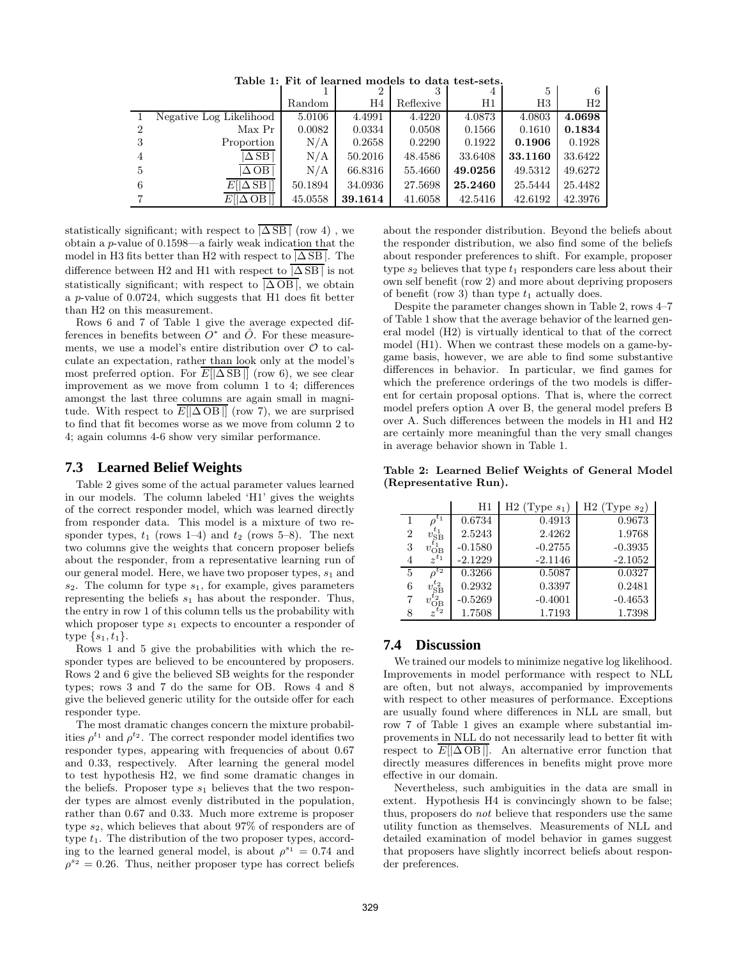|                |                         |         |         | 3         | 4       | 5           |         |
|----------------|-------------------------|---------|---------|-----------|---------|-------------|---------|
|                |                         | Random  | H4      | Reflexive | H1      | $_{\rm H3}$ | H2      |
|                | Negative Log Likelihood | 5.0106  | 4.4991  | 4.4220    | 4.0873  | 4.0803      | 4.0698  |
| 2              | Max Pr                  | 0.0082  | 0.0334  | 0.0508    | 0.1566  | 0.1610      | 0.1834  |
| -3             | Proportion              | N/A     | 0.2658  | 0.2290    | 0.1922  | 0.1906      | 0.1928  |
| $\overline{4}$ | $\Delta$ SB             | N/A     | 50.2016 | 48.4586   | 33.6408 | 33.1160     | 33.6422 |
| 5              | $\Delta$ OB             | N/A     | 66.8316 | 55.4660   | 49.0256 | 49.5312     | 49.6272 |
| 6              | $E[ \Delta SB ]$        | 50.1894 | 34.0936 | 27.5698   | 25.2460 | 25.5444     | 25.4482 |
|                | $E[ \Delta$ OB $ ]$     | 45.0558 | 39.1614 | 41.6058   | 42.5416 | 42.6192     | 42.3976 |

Table 1: Fit of learned models to data test-sets.

statistically significant; with respect to  $|\overline{\Delta SB}|$  (row 4), we obtain a p-value of 0.1598—a fairly weak indication that the model in H3 fits better than H2 with respect to  $|\Delta S\text{B}|$ . The difference between H2 and H1 with respect to  $|\overline{\triangle S}}$  is not statistically significant; with respect to  $|\overline{\Delta \text{OB}}|$ , we obtain a p-value of 0.0724, which suggests that H1 does fit better than H2 on this measurement.

Rows 6 and 7 of Table 1 give the average expected differences in benefits between  $O^*$  and  $\hat{O}$ . For these measurements, we use a model's entire distribution over  $\mathcal O$  to calculate an expectation, rather than look only at the model's most preferred option. For  $E[|\Delta S B|]$  (row 6), we see clear improvement as we move from column 1 to 4; differences amongst the last three columns are again small in magnitude. With respect to  $\overline{E[|\Delta \text{OB}|]}$  (row 7), we are surprised to find that fit becomes worse as we move from column 2 to 4; again columns 4-6 show very similar performance.

#### **7.3 Learned Belief Weights**

Table 2 gives some of the actual parameter values learned in our models. The column labeled 'H1' gives the weights of the correct responder model, which was learned directly from responder data. This model is a mixture of two responder types,  $t_1$  (rows 1–4) and  $t_2$  (rows 5–8). The next two columns give the weights that concern proposer beliefs about the responder, from a representative learning run of our general model. Here, we have two proposer types,  $s_1$  and  $s_2$ . The column for type  $s_1$ , for example, gives parameters representing the beliefs  $s_1$  has about the responder. Thus, the entry in row 1 of this column tells us the probability with which proposer type  $s_1$  expects to encounter a responder of type  $\{s_1, t_1\}.$ 

Rows 1 and 5 give the probabilities with which the responder types are believed to be encountered by proposers. Rows 2 and 6 give the believed SB weights for the responder types; rows 3 and 7 do the same for OB. Rows 4 and 8 give the believed generic utility for the outside offer for each responder type.

The most dramatic changes concern the mixture probabilities  $\rho^{t_1}$  and  $\rho^{t_2}$ . The correct responder model identifies two responder types, appearing with frequencies of about 0.67 and 0.33, respectively. After learning the general model to test hypothesis H2, we find some dramatic changes in the beliefs. Proposer type  $s_1$  believes that the two responder types are almost evenly distributed in the population, rather than 0.67 and 0.33. Much more extreme is proposer type  $s_2$ , which believes that about 97% of responders are of type  $t_1$ . The distribution of the two proposer types, according to the learned general model, is about  $\rho^{s_1} = 0.74$  and  $\rho^{s_2} = 0.26$ . Thus, neither proposer type has correct beliefs

about the responder distribution. Beyond the beliefs about the responder distribution, we also find some of the beliefs about responder preferences to shift. For example, proposer type  $s_2$  believes that type  $t_1$  responders care less about their own self benefit (row 2) and more about depriving proposers of benefit (row 3) than type  $t_1$  actually does.

Despite the parameter changes shown in Table 2, rows 4–7 of Table 1 show that the average behavior of the learned general model (H2) is virtually identical to that of the correct model (H1). When we contrast these models on a game-bygame basis, however, we are able to find some substantive differences in behavior. In particular, we find games for which the preference orderings of the two models is different for certain proposal options. That is, where the correct model prefers option A over B, the general model prefers B over A. Such differences between the models in H1 and H2 are certainly more meaningful than the very small changes in average behavior shown in Table 1.

Table 2: Learned Belief Weights of General Model (Representative Run).

|                |                                               | $_{\rm H1}$ | H <sub>2</sub> (Type $s_1$ ) | H2 (Type $s_2$ ) |
|----------------|-----------------------------------------------|-------------|------------------------------|------------------|
|                | $t_1$                                         | 0.6734      | 0.4913                       | 0.9673           |
| $\overline{2}$ | $v_{\rm SB}^{t_1}$                            | 2.5243      | 2.4262                       | 1.9768           |
| 3              | $v_\mathrm{OB}^{\tilde{t_1}^-} \over z^{t_1}$ | $-0.1580$   | $-0.2755$                    | $-0.3935$        |
|                |                                               | $-2.1229$   | $-2.1146$                    | $-2.1052$        |
| 5              | $\sigma^{t_2}$                                | 0.3266      | 0.5087                       | 0.0327           |
| 6              | $v_{\rm SB}^{t_2}$                            | 0.2932      | 0.3397                       | 0.2481           |
|                | $\frac{v_\text{OB}^{t_2}}{z^{t_2}}$           | $-0.5269$   | $-0.4001$                    | $-0.4653$        |
|                |                                               | 1.7508      | 1.7193                       | 1.7398           |

# **7.4 Discussion**

We trained our models to minimize negative log likelihood. Improvements in model performance with respect to NLL are often, but not always, accompanied by improvements with respect to other measures of performance. Exceptions are usually found where differences in NLL are small, but row 7 of Table 1 gives an example where substantial improvements in NLL do not necessarily lead to better fit with respect to  $\overline{E[|\Delta \text{OB}|]}$ . An alternative error function that directly measures differences in benefits might prove more effective in our domain.

Nevertheless, such ambiguities in the data are small in extent. Hypothesis H4 is convincingly shown to be false; thus, proposers do not believe that responders use the same utility function as themselves. Measurements of NLL and detailed examination of model behavior in games suggest that proposers have slightly incorrect beliefs about responder preferences.